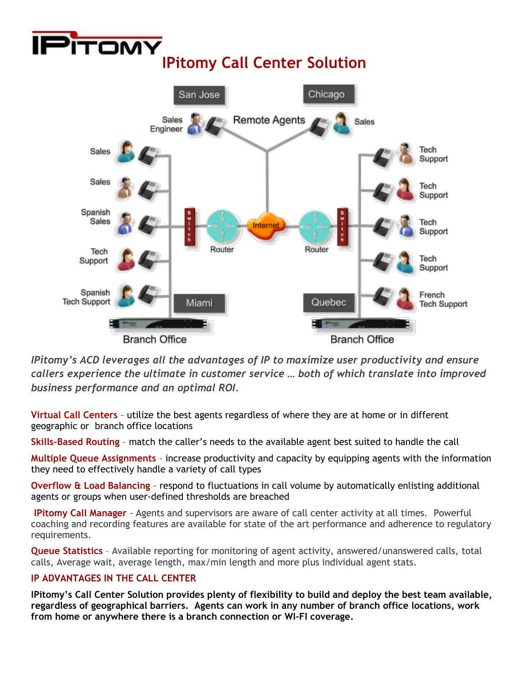

*IPitomy's ACD leverages all the advantages of IP to maximize user productivity and ensure callers experience the ultimate in customer service … both of which translate into improved business performance and an optimal ROI.*

**Virtual Call Centers** – utilize the best agents regardless of where they are at home or in different geographic or branch office locations

**Skills-Based Routing** – match the caller's needs to the available agent best suited to handle the call

**Multiple Queue Assignments** – increase productivity and capacity by equipping agents with the information they need to effectively handle a variety of call types

**Overflow & Load Balancing** – respond to fluctuations in call volume by automatically enlisting additional agents or groups when user-defined thresholds are breached

**IPitomy Call Manager** - Agents and supervisors are aware of call center activity at all times. Powerful coaching and recording features are available for state of the art performance and adherence to regulatory requirements.

**Queue Statistics** – Available reporting for monitoring of agent activity, answered/unanswered calls, total calls, Average wait, average length, max/min length and more plus individual agent stats.

## **IP ADVANTAGES IN THE CALL CENTER**

**IPitomy's Call Center Solution provides plenty of flexibility to build and deploy the best team available, regardless of geographical barriers. Agents can work in any number of branch office locations, work from home or anywhere there is a branch connection or WI-FI coverage.**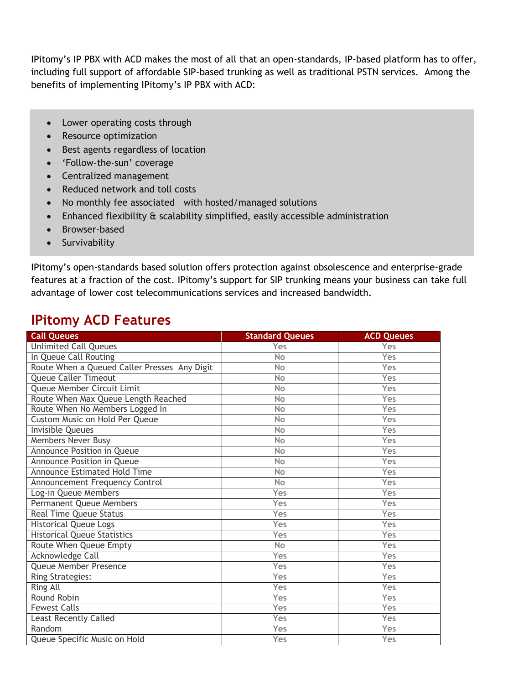IPitomy's IP PBX with ACD makes the most of all that an open-standards, IP-based platform has to offer, including full support of affordable SIP-based trunking as well as traditional PSTN services. Among the benefits of implementing IPitomy's IP PBX with ACD:

- Lower operating costs through
- Resource optimization
- Best agents regardless of location
- 'Follow-the-sun' coverage
- Centralized management
- Reduced network and toll costs
- No monthly fee associated with hosted/managed solutions
- Enhanced flexibility & scalability simplified, easily accessible administration
- Browser-based
- Survivability

IPitomy's open-standards based solution offers protection against obsolescence and enterprise-grade features at a fraction of the cost. IPitomy's support for SIP trunking means your business can take full advantage of lower cost telecommunications services and increased bandwidth.

## **IPitomy ACD Features**

| <b>Call Queues</b>                           | <b>Standard Queues</b> | <b>ACD Queues</b> |
|----------------------------------------------|------------------------|-------------------|
| <b>Unlimited Call Queues</b>                 | Yes                    | Yes               |
| In Queue Call Routing                        | No                     | Yes               |
| Route When a Queued Caller Presses Any Digit | No                     | Yes               |
| <b>Queue Caller Timeout</b>                  | <b>No</b>              | Yes               |
| Queue Member Circuit Limit                   | No                     | Yes               |
| Route When Max Queue Length Reached          | <b>No</b>              | Yes               |
| Route When No Members Logged In              | <b>No</b>              | Yes               |
| Custom Music on Hold Per Queue               | No                     | Yes               |
| <b>Invisible Queues</b>                      | No                     | Yes               |
| Members Never Busy                           | No                     | Yes               |
| Announce Position in Queue                   | No                     | Yes               |
| Announce Position in Queue                   | <b>No</b>              | Yes               |
| <b>Announce Estimated Hold Time</b>          | No                     | Yes               |
| Announcement Frequency Control               | <b>No</b>              | Yes               |
| Log-in Queue Members                         | Yes                    | Yes               |
| Permanent Queue Members                      | Yes                    | Yes               |
| <b>Real Time Queue Status</b>                | Yes                    | Yes               |
| <b>Historical Queue Logs</b>                 | Yes                    | Yes               |
| <b>Historical Queue Statistics</b>           | Yes                    | Yes               |
| Route When Queue Empty                       | <b>No</b>              | Yes               |
| <b>Acknowledge Call</b>                      | Yes                    | Yes               |
| Queue Member Presence                        | Yes                    | Yes               |
| <b>Ring Strategies:</b>                      | Yes                    | Yes               |
| Ring All                                     | Yes                    | Yes               |
| Round Robin                                  | Yes                    | Yes               |
| <b>Fewest Calls</b>                          | Yes                    | Yes               |
| <b>Least Recently Called</b>                 | Yes                    | Yes               |
| Random                                       | Yes                    | Yes               |
| Queue Specific Music on Hold                 | Yes                    | Yes               |